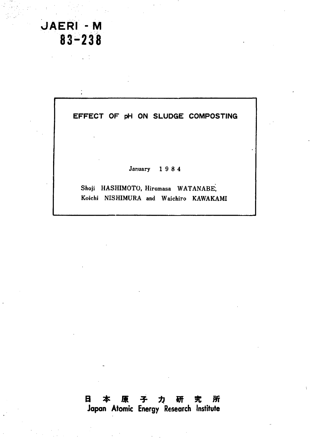# $JAFRI - M$ **i-238** 83~238

# EFFECT OF pH ON SLUDGE COMPOSTING

**January 1 9 8 4** January 1 9 8 4

**Shoji HASHIMOTO, Hiromasa WATANABE;** Shoji HASHIMOTO, Hiromasa WATANABE,<br>Koichi NISHIMURA and Waichiro KAWAKAMI

# Japan Atomic Energy Research Institute 日本原子力研究所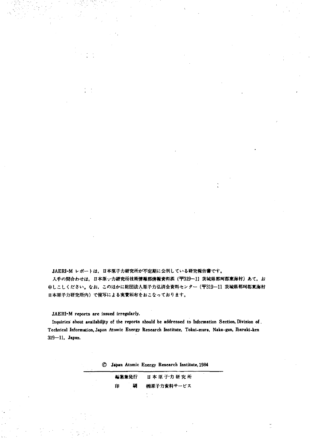**JAERI-M** レポートは,日本原子力研究所が不定期に公刊している研究報告書です。 入手の間合わせは,日本原一力研究所技<mark>術情報部情報資料課(〒319-11 茨城県那珂郡東海村)あて,お</mark> 申しこしください。なお、このほかに財団法人原子力弘済会資料センター(〒319—11 茨<mark>城県</mark>那珂郡東海村 日本原子力研究所内)で複写による実費制布をおこなっております。

JAERI-M reports are issued irregularly.

Inquiries about availabiljty of the reports should be addressed to Information Section, Division of . Technical Information, Japan Atomic Energy Research Institute, Tokai-mura, Naka-gun, Ibaraki-ken<br>319—11, Japan. **319-11, Japan.**

|  |  |  |  | C Japan Atomic Energy Research Institute, 1984 |
|--|--|--|--|------------------------------------------------|
|--|--|--|--|------------------------------------------------|

| 相集兼発行 |   | 日本原子力研究所   |  |
|-------|---|------------|--|
| 印     | 騆 | ㈱原子力資料サービス |  |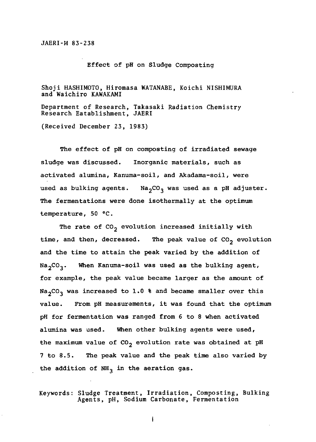#### JAERI-M 83-238 JAERI-M 83 238

Effect of pH on Sludge Composting Effect of pH on S1udge Composting

Shoji HASHIMOTO, Hiromasa WATANABE, Koichi NISHIMURA Shoji HASHIMOTO, Hiromasa WATANABE, Koichi NISHlMURA and Waichiro KAWAKAMI and Waichiro KAWAKAMI Department of Research, Takasaki Radiation Chemistry<br>Research Eatablishment, JAERI<br>(Received December 23, 1983) Research Establishment, JAERI (Received December 23, 1983)

The effect of pH on composting of irradiated sewage The effect of pH on composting of irradiated sewage sludge was discussed. Inorganic materials, such as s1udge was discussed. Inorganic materia1s, such as activated alumina, Kanuma-soil, and Akadama-soil, were activated a1umina, Kanuma-soi1, and Akadama-soi1, were used as bulking agents.  $\,$  Na $_2$ CO $_3$  was used as a pH adjuster. The fermentations were done isothermally at the optimum The fermentations were done isotherma11y at the optimum temperature, 50 °C.

The rate of  $CO_2$  evolution increased initially with time, and then, decreased. The peak value of  $\texttt{CO}_2$  evolution and the time to attain the peak varied by the addition of and the time to attain the peak varied by the addition of Na $_{2}$ CO $_{3}.$  When Kanuma-soil was used as the bulking agent, for example, the peak value became larger as the amount of Na<sub>2</sub>CO<sub>3</sub> was increased to 1.0 % and became smaller over this value. From pH measurements, it was found that the optimum va1ue. From pH measurements, it was found that the optimum pH for fermentation was ranged from 6 to 8 when activated pR for fermentation was ranged from 6 to 8 when activated alumina was used. When other bulking agents were used, a1umina was used. When other bu1king agents were used, the maximum value of CO<sub>2</sub> evolution rate was obtained at pH 7 to 8.5. The peak value and the peak time also varied by 7 to 8.5. The peak va1ue and the peak time a1so varied by the addition of  $NH_{3}$  in the aeration gas.

Keywords: Sludge Treatment, Irradiation, Composting, Bulking Agents, pH, Sodium Carbonate, Fermentation Keywords: Sludge freatment Irradiation, Composting, Bulking Agents, pH, Sodium Carbonate, Fermentation

ł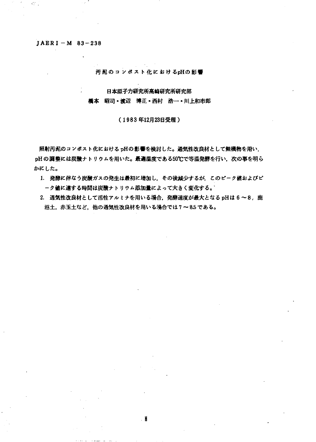# **JAERI -M 83-238** ]AERI-M 83-238

an i

#### 汚泥のコンポスト化におけるpHの影響

#### 日本原子力研究所高崎研究所研究部

#### 橋本 昭司・渡辺 博正・西村 浩一・川上和市郎

#### (1983 12 23日受理〉

照射汚泥のコンポスト化における pHの影響を検討した。通気性改良材として無機物を用い, pHの調整には炭酸ナトリウムを用いた。最適温度である50℃で等温発酵を行い,次の事を明ら かにした。

- 1. 発酵に伴なう炭酸ガスの発生は最初に増加し,その後減少するが、このピーク値およびピ ーク値に違する時間は炭酸ナトリウム添加量によって大きく変化する。
- 2. 通気性改良材として活性アルミナを用いる場合,発酵速度が最大となる pHは 6 ~8 ,鹿 沼土,赤玉土など、他の通気性改良材を用いる場合では7~8.5である。

. N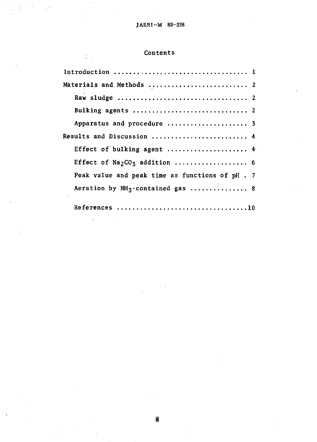# Contents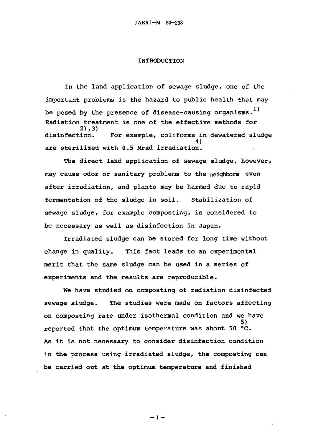#### INTRODUCTION INTRODUCTION

In the land application of sewage sludge, one of the In the 1and app1ication of sewage sludge, one of the important problems is the hazard to public health that may important prob1ems is the hazard to pub1ic hea1th that may be posed by the presence of disease-causing organisms.<sup>1)</sup><br>Radiation treatment is one of the effective methods for Radiation treatment is one of the effective methods for 2),3) 2) 3) disinfection. For example, coliforms in dewatered sludge disinfection. For examp1e, co1iforms in dewatered sludge 4) 4) are sterilized with 0.5 Mrad irradiation. are steri1ized with 0.5 Mrad irradiation.

The direct land application of sewage sludge, however, The direct 1and app1ication of sewage sludge, however, may cause odor or sanitary problems to the neighbors even after irradiation, and plants may be harmed due to rapid after irradiation, and p1ants may be harmed due to rapid fermentation of the sludge in soil. Stabilization of fermentation of the sludge in soi1. Stabi1ization of sewage sludge, for example composting, is considered to sewage sludge, for examp1e composting, is considered to be necessary as well as disinfection in Japan. be necessary as we11 as disinfection in Japan.

Irradiated sludge can be stored for long time without change in quality. This fact leads to an experimental change in qua1ity. This fact 1eads to an experimenta1 merit that the same sludge can be used in a series of merit that the same sludge can be used in a series of experiments and the results are reproducible. We have studied on composting of radiation disinfected experiments and the results are reproducib1e. We have studied on composting of radiation disinfected

sewage sludge. The studies were made on factors affecting sewage sludge. The studies were made on factors affecting on composting rate under isothermal condition and we have 5) reported that the optimum temperature was about 50 °C. As it is not necessary to consider disinfection condition As it is not necessary to consider disinfection condition in the process using irradiated sludge, the composting can in the process using irradiated sludge, the composting can be carried out at the optimum temperature and finished be carried out at the optimum temperature and finished 5)

 $-1-$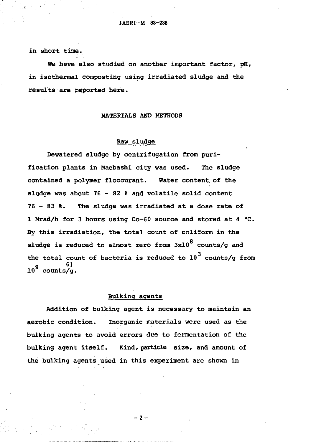in short time. in short time.

We have also studied on another important factor, pH, in isothermal composting using irradiated sludge and the in isotherma1 composting using irradiated s1udge and the results are reported here.

## MATERIALS AND METHODS MATERIALS AND METHODS

#### Raw sludge

Raw sludge<br>Dewatered sludge by centrifugation from purification plants in Maebashi city was used. The sludge contained a polymer floccurant. Water content of the sludge was about 76 - 82 % and volatile solid content 76 - 83 %. The sludge was irradiated at a dose rate of 1 Mrad/h for 3 hours using Co-60 source and stored at 4 °C. By this irradiation, the total count of coliform in the sludge is reduced to almost zero from  $3 \mathrm{x} 10^8$  counts/g and the total count of bacteria is reduced to  $10^{\text{3}}$  counts/g from io<sup>9</sup> counts/g. 6) 10' counts/g.

# Bulking agents

Addition of bulking agent is necessary to maintain an aerobic condition. Inorganic materials were used as the bulking agents to avoid errors due to fermentation of the bulking agent itself. Kind, particle size, and amount of the bulking agents used in this experiment are shown in

 $-2-$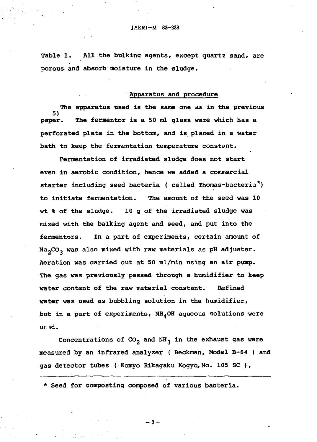Table 1. All the bulking agents, except quartz sand, are porous and absorb moisture in the sludge.

# Apparatus and procedure

The apparatus used is the same one as in the previous 5) 5) paper. The fermentor is a 50 ml glass ware which has a perforated plate in the bottom, and is placed in a water<br>bath to keep the fermentation temperature constant. bath to keep the fermentation temperature constant.

Fermentation of irradiated sludge does not start<br>even in aerobic condition, hence we added a commercial even in aerobic condition, hence we added a commercial starter including seed bacteria ( called Thomas-bacteria\*) starter including seed bacteria ( cal1ed Thomas-bacteria to initiate fermentation. The amount of the seed was 10 to initiate fermentation. The amount of the seed was 10<br>wt % of the sludge. 10 g of the irradiated sludge was mixed with the balking agent and seed, and put into the fermentors. In a part of experiments, certain amount of Na2CO3 was also mixed with raw materials as pH adjuster. Na<sup>2</sup> C03 was also mixed with raw materials as pH adjuster. Aeration was carried out at 50 ml/min using an air pump. The gas was previously passed through a humidifier to keep The gas was previously passed through a humidifier to keep water content of the raw material constant. Refined water content of heraw material constant. Refined water was used as bubbling solution in the humidifier, water was used as bubbling solution in the humidifier, but in a part of experiments,  $NH_{4}$ OH aqueous solutions were ur id.

Concentrations of  $CO_2$  and  $NH_3$  in the exhaust gas were measured by an infrared analyzer (Beckman, Model B-64 ) and gas detector tubes ( Komyo Rikagaku Kogyo, No. 105 SC ),

\* Seed for composting composed of various bacteria. \* Seed for composting composed of various bacteria.

 $-3-$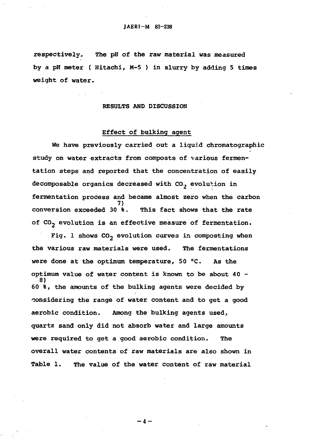respectively. The pH of the raw material was measured respectively. The pH of the raw material was measured<br>by a pH meter ( Hitachi, M-5 ) in slurry by adding 5 times weight of water. weight of water.

#### RESULTS AND DISCUSSION

# Effect of bulking agent RESULTS AND DISCUSSION Effect of bulking agent

We have previously carried out a liquid chromatographic We have previously carried out a liquid chromatographic<br>study on water extracts from composts of various fermentation steps and reported that the concentration of easily tation steps and reported that the concentration of easily decomposable organics decreased with CO, evolution in decomposable organics decreased with COl evolution in fermentation process and became almost zero when the carbon conversion exceeded  $30$   $\delta$ . conversion exceeded  $30$   $\hat{\textbf{s}}$ . This fact shows that the rate of  ${\rm CO}_2$  evolution is an effective measure of fermentation. 7)

Fig. 1 shows  $co_2$  evolution curves in composting when the various raw materials were used. The fermentations the various raw materials were used. The fermentations<br>were done at the optimum temperature, 50 °C. As the optimum value of water content is known to be about 40 -8) 60 %, the amounts of the bulking agents were decided by 60も, the amounts of the bulking agents were decided by considering the range of water content and to get a good aerobic condition. Among the bulking agents used, aerobic condition. Among the bulking agents used, quartz sand only did not absorb water and large amounts<br>were required to get a good aerobic condition. The<br>overall water contents of raw materials are also shown in were required to get a good aerobic condition. The overall water contents of raw materials are also shown in Table 1. The value of the water content of raw material 8)

 $-4-$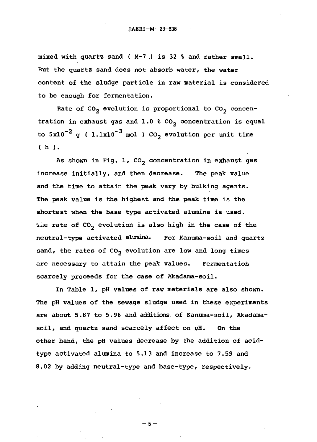mixed with quartz sand ( M-7 ) is 32 % and rather small.<br>But the quartz sand does not absorb water, the water But the quartz sand does not absorb water, the water content of the sludge particle in raw material is considered content of the s1udge particle in raw materia1 is considered to be enough for fermentation.

Rate of CO<sub>2</sub> evolution is proportional to CO<sub>2</sub> concentration in exhaust gas and  $1.0$  %  $\mathrm{co}_2$  concentration is equal to  $5x10^{-2}$  g (  $1.1x10^{-3}$  mol ) CO<sub>2</sub> evolution per unit time ( h ). ( h ).

As shown in Fig. 1,  ${{\rm co}_2}$  concentration in exhaust gas increase initially, and then decrease. The peak value increase initia11y, and then decrease. The peak va1ue and the time to attain the peak vary by bulking agents. and the time to attain the peak vary by bu1king agents. The peak value is the highest and the peak time is the shortest when the base type activated alumina is used. Le rate of  ${\rm co}_2^{}$  evolution is also high in the case of the neutral-type activated alumina. For Kanuma-soil and quartz sand, the rates of  $co_2$  evolution are low and long times are necessary to attain the peak values. Fermentation scarcely proceeds for the case of Akadama-soil. scarce1y proceeds for the case of Akadama-soi1.

In Table 1, pH values of raw materials are also shown. n Tab1e 1, pH va1ues of raw materials are also shown. The pH values of the sewage sludge used in these experiments The pH va1ues of the sewage s1udge used in these experiments are about 5.87 to 5.96 and additions. of Kanuma-soil, Akadamasoil, and quartz sand scarcely affect on pH. On the other hand, the pH values decrease by the addition of acidtype activated alumina to 5.13 and increase to 7.59 and type activated a1umina to 5.13 and increase to 7.59 and 8.02 by adding neutral-type and base-type, respectively. 8.02 by adding neutra1-type and base-type, respective1y.

 $-5-$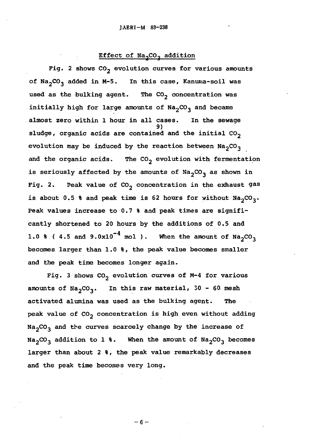# Effect of Na<sub>2</sub>CO<sub>3</sub> addition

Fig. 2 shows CO<sub>2</sub> evolution curves for various amounts of Na<sub>2</sub>CO<sub>3</sub> added in M-5. In this case, Kanuma-soil was used as the bulking agent. The  ${{\rm co}}_2$  concentration was initially high for large amounts of  $\texttt{Na}_2\texttt{CO}_3$  and became almost zero within 1 hour in all cases. In the sewage a1most zero within 1 hour in a11 cases. In the sewaqe sludge, organic acids are contained and the initial  ${\rm co}_2$ evolution may be induced by the reaction between  $\mathtt{Na_{2}CO_{3}}$ and the organic acids. The CO<sub>2</sub> evolution with fermentation is seriously affected by the amounts of  ${\tt Na}_2{\tt CO}_3$  as shown in Fig. 2. Peak value of  $\mathrm{co}_2$  concentration in the exhaust gas is about 0.5 % and peak time is 62 hours for without  $\texttt{Na}_2\texttt{CO}_3\texttt{.}$ Peak values increase to 0.7 % and peak times are significantly shortened to 20 hours by the additions of 0.5 and cant1y shortened to 20 hours by the additions of 0.5 and 1.0 % (4.5 and 9.0x10<sup>-4</sup> mol). When the amount of  $\text{Na}_2\text{CO}_3$ becomes larger than 1.0 %, the peak value becomes smaller becomes 1arqer than 1.0 %, the peak va1ue becomes sma11er and the peak time becomes longer again. and the peak time becomes 10nqer again. 9)

Fig. 3 shows  ${\rm CO}_2$  evolution curves of M-4 for various amounts of  $\text{Na}_2\text{CO}_3$ . In this raw material, 30 - 60 mesh activated alumina was used as the bulking agent. The activated a1umina was used as the bu1kinq aqent. The peak value of CO<sub>2</sub> concentration is high even without adding  $Na_2CO_3$  and the curves scarcely change by the increase of  $Na_{2}CO_{3}$  addition to 1 %. When the amount of  $Na_{2}CO_{3}$  becomes larger than about 2 %, the peak value remarkably decreases 1arger than about 2も, the peak va1ue remarkab1y decreases and the peak time becomes very long. and the peak time becomes very 1ong.

 $-6-$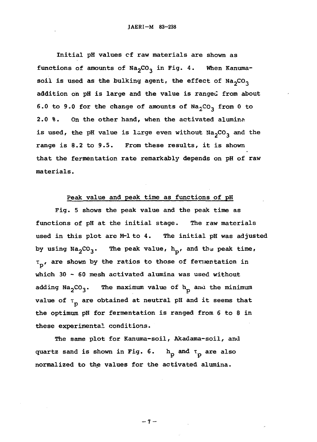Initial pH values of raw materials are shown as Initial pH values cf raw materials are shown as functions of amounts of  $\texttt{Na}_2\texttt{CO}_3$  in Fig. 4. When Kanumasoil is used as the bulking agent, the effect of  $\mathtt{Na}_2\mathtt{CO}_3$ addition on pH is large and the value is ranged from about 6.0 to 9.0 for the change of amounts of  $\texttt{Na}_2\texttt{CO}_3$  from 0 to 2.0 %. On the other hand, when the activated alumina is used, the pH value is large even without  $\texttt{Na}_2\texttt{CO}_3$  and the range is 8.2 to 9.5. From these results, it is shown that the fermentation rate remarkably depends on pH of raw materials. materials.

## Peak value and peak time as functions of pH Peak value and peak time as functions of pH

Fig. 5 shows the peak value and the peak time as Fig. 5 shows the peak value and the peak time as functions of pH at the initial stage. The raw materials used in this plot are M-1 to 4. The initial pH was adjusted by using  $\texttt{Na}_2\texttt{CO}_3$ . The peak value,  $\texttt{h}_\texttt{p}$ , and the peak time,  $\tau_{\rm p'}$ , are shown by the ratios to those of fermentation in which 30 - 60 mesh activated alumina was used without adding  $\texttt{Na}_2\texttt{CO}_3$ . The maximum value of  $\texttt{h}_\texttt{p}$  and the minimum value of  $\tau_{\perp}$  are obtained at neutral pH and it seems that the optimum pH for fermentation is ranged from 6 to 8 in the optimum pH for fermentation is ranged from 6 to 8 in these experimental conditions. these experimental conditions.

The same plot for Kanuma-soil, Akadama-soil, and le same plot for Kanuma-soil , Akadama-soil , anu quartz sand is shown in Fig. 6.  $h_p$  and  $\tau_p$  are also normalized to the values for the activated alumina.<br>
-7-

 $-7 -$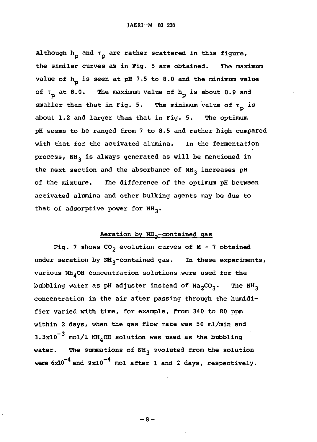Although  $h^{\vphantom{\dagger}}_{\mathsf{D}}$  and  $\tau^{\vphantom{\dagger}}_{\mathsf{D}}$  are rather scattered in this figure, the similar curves as in Fig. 5 are obtained. The maximum value of  $h_n$  is seen at pH 7.5 to 8.0 and the minimum value of  $\tau_{\rm p}$  at 8.0. The maximum value of  $\rm h_{\rm p}$  is about 0.9 and smaller than that in Fig. 5. The minimum value of  $\tau_{\bf p}$  is about 1.2 and larger than that in Fig. 5. The optimum about 1.2 and 1arger hanthat in Fig. 5. The optimum pH seems to be ranged from 7 to 8.5 and rather high compared pH seems to be ranged from 7 to 8.5 and rather high compared with that for the activated alumina. In the fermentation process,  $NH_3$  is always generated as will be mentioned in the next section and the absorbance of NH<sub>3</sub> increases pH of the mixture. The difference of the optimum pH between activated alumina and other bulking agents may be due to activated a1umina and other bu1king agents may be due to that of adsorptive power for  $NH_3$ .

# Aeration by NH<sub>2</sub>-contained gas

Fig. 7 shows  $CO_2$  evolution curves of M - 7 obtained under aeration by NH<sub>3</sub>-contained gas. In these experiments, various  $NH_{4}$ OH concentration solutions were used for the bubbling water as pH adjuster instead of Na<sub>2</sub>CO<sub>3</sub>. The NH<sub>3</sub><br>concentration in the air after passing through the humidiconcentration in the air after passing through the humidifier varied with time, for example, from 340 to 80 ppm fier varied wih time, for examp1e, from 340 to 80 ppm within 2 days, when the gas flow rate was 50 ml/min and within 2 days, when the gas f10w rate was 50 m1/min and  $3.3x10^{-3}$  mol/1 NH<sub>4</sub>OH solution was used as the bubbling water. The summations of NH<sub>3</sub> evoluted from the solution were  $6x10^{-4}$  and  $9x10^{-4}$  mol after 1 and 2 days, respectively.

 $-8-$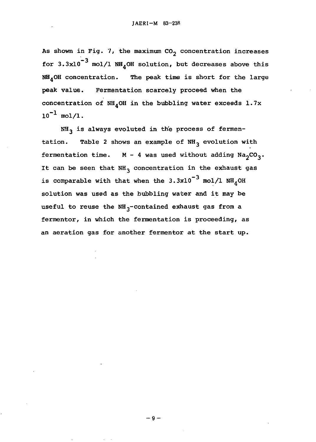As shown in Fig. 7, the maximum  $co<sub>2</sub>$  concentration increases for 3.3x10<sup>-3</sup> mol/l NH<sub>A</sub>OH solution, but decreases above this  $NH<sub>4</sub>$ OH concentration. The peak time is short for the large peak value. Fermentation scarcely proceed when the peak va1ue. Fermentation scarce1y proceed when the concentration of NH4OH in the bubbling water exceeds 1.7x concentration of NH40H in the bubb1ing water exceeds 1.7x  $10^{-1}$  mol/l.

NH<sub>3</sub> is always evoluted in the process of fermentation. Table 2 shows an example of NH<sub>3</sub> evolution with fermentation time.  $M - 4$  was used without adding  $Na_2CO_3$ . It can be seen that  $NH_{3}$  concentration in the exhaust gas is comparable with that when the 3.3x10 $^{-3}$  mol/l NH<sub>4</sub>OH solution was used as the bubbling water and it may be so1ution was used as the bubb1ing water and it may be useful to reuse the NH<sub>3</sub>-contained exhaust gas from a fermentor, in which the fermentation is proceeding, as fermentor, in which the fermentation is proceeding, as an aeration gas for another fermentor at the start up. an aeration gas for another fermentor at the start up.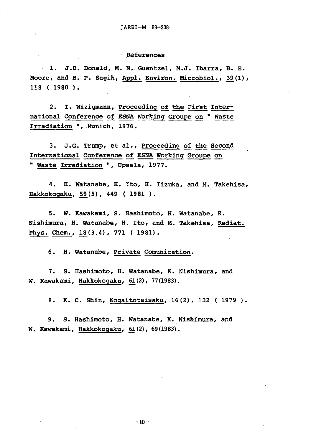# References References

1. J.D. Donald, M. N. Guentzel, M.J. Ibarra, B. E. Moore, and B. P. Sagik, Appl. Environ. Microbiol., 39(1), 118 ( 1980 ). 118 ( 1980 ).

2. I. Wizigmann, Proceeding of the First International Conference of ESNA Working Groupe on " Waste Irradiation ", Munich, 1976.

3. J.G. Trump, et al., Proceeding of the Second International Conference of ESNA Working Groupe on " Waste Irradiation ", Upsala, 1977.

4. H. Watanabe, H. Ito, H. Iizuka, and M. Takehisa, 4. H. Watanabe, H. to H. Iizuka, and M.. Takehisa, Hakkokogaku, 59 (5), 449 ( 1981 ). Hakkokogaku, 59 (5), 449 ( 1981 ).

5. W. Kawakami, S. Hashimoto, H. Watanabe, K. Nishimura, H. Watanabe, H. Ito, and M. Takehisa, Radiat. Nishimura, H. Watanabe, H. Ito, and M. Takehisa, Radiat. Phys. Chem.,  $18(3,4)$ , 771 ( 1981).

6. H. Watanabe, Private Comunication.

7. S. Hashimoto, H. Watanabe, K. Nishimura, and W. Kawakami, <u>Hakkokogaku, 61</u>(2), 77 (1983).

8. K. C. Shin, Kogaitotaisaku, 16(2), 132 (1979).

9. S. Hashimoto, H. Watanabe, K. Nishimura, and 9. S. Hashimoto, H. Watanabe, K. Nishimura, and W. Kawakami, Hakkokogaku, 61(2), 69(1983).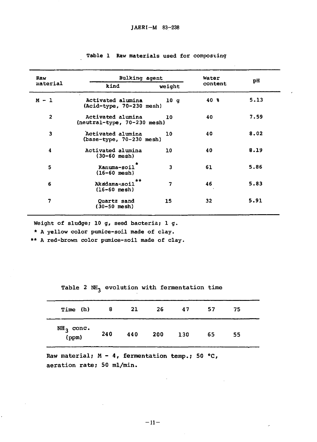| Raw            | <b>Bulking agent</b>                             | Water  | рH      |      |
|----------------|--------------------------------------------------|--------|---------|------|
| material       | kind                                             | weight | content |      |
| $M - 1$        | Activated alumina<br>$Acid-type, 70-230$ mesh)   | 10q    | 40 %    | 5.13 |
| $\overline{2}$ | Activated alumina<br>(neutral-type, 70-230 mesh) | 10     | 40      | 7.59 |
| 3              | Activated alumina<br>(base-type, 70-230 mesh)    | 10     | 40      | 8.02 |
| 4              | Activated alumina<br>$(30 - 60$ mesh)            | 10     | 40      | 8.19 |
| 5              | Kanuma-soil<br>$(16-60$ mesh)                    | 3      | 61      | 5.86 |
| 6              | **<br>Akadama-soil<br>$(16 - 60$ mesh)           | 7      | 46      | 5.83 |
| 7              | Quartz sand<br>(30-50 mesh)                      | 15     | 32      | 5.91 |

#### Table 1 Raw materials used for composting

Weight of sludge; 10 g, seed bacteria; l g.

**\* A yellow color pumice-soil made of clay.** \* A ye110w co1or pumice-soi1 made of c1ay.

**\*\* A red-brown color pumice-soil made of clay.** \*\* A red-brown co1or pumice-soi1 made of c1ay.

**Table 2 NH, evolution with fermentation time** Tab1e 2 NH3 evo1ution with fermentation time

| Time (h)             | 8   | 21  | -26 | 47  | 57 | 75 |  |
|----------------------|-----|-----|-----|-----|----|----|--|
| $NH3$ conc.<br>(ppm) | 240 | 440 | 200 | 130 | 65 | 55 |  |

Raw material; M - 4, fermentation temp.; 50 °C, aeration rate; 50 ml/min.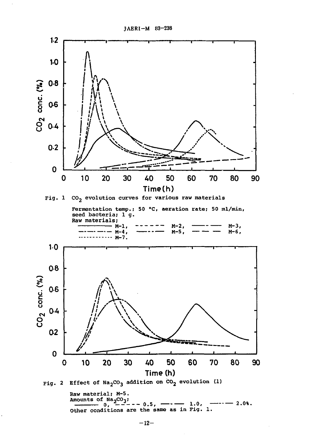

Raw material; M-5. Amounts of Na<sub>2</sub>CO<sub>3</sub>;  $-0.5, -2.08.$  $1.0,$ ---0, Other conditions are the same as in Fig. 1.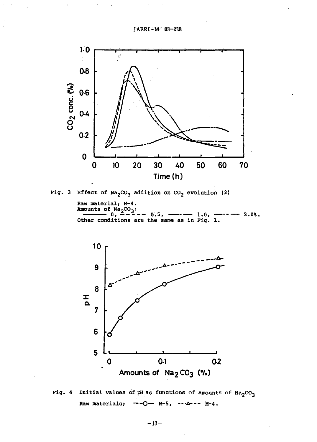JAERI-M 83-238



Fig. 3 Effect of  $Na_2CO_3$  addition on  $CO_2$  evolution (2)

Raw material; M-4.<br>Amounts of  $Na_2CO_3$ ;  $\overline{\mathbf{0}}$ .  $-0.5,$  $2.08.$  $-1.0,$ .. Other conditions are the same as in Fig. 1.



Fig. 4 Initial values of pH as functions of amounts of  $Na_2CO_3$ Raw materials; —О— м-5, ---∆--- м-4.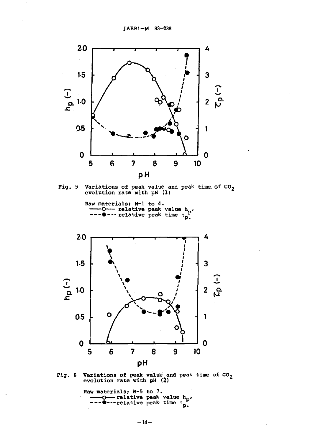

Fig. 5 Variations of peak value and peak time of  $CO_2$ <br>evolution rate with pH (1)



Fig. 6 Variations of peak value and peak time of  $CO_2$ <br>evolution rate with pH (2)